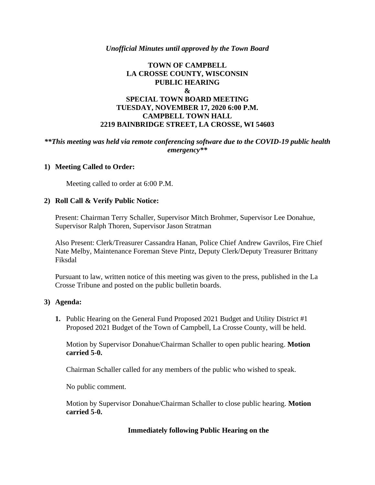### *Unofficial Minutes until approved by the Town Board*

# **TOWN OF CAMPBELL LA CROSSE COUNTY, WISCONSIN PUBLIC HEARING & SPECIAL TOWN BOARD MEETING TUESDAY, NOVEMBER 17, 2020 6:00 P.M. CAMPBELL TOWN HALL 2219 BAINBRIDGE STREET, LA CROSSE, WI 54603**

## *\*\*This meeting was held via remote conferencing software due to the COVID-19 public health emergency\*\**

### **1) Meeting Called to Order:**

Meeting called to order at 6:00 P.M.

### **2) Roll Call & Verify Public Notice:**

Present: Chairman Terry Schaller, Supervisor Mitch Brohmer, Supervisor Lee Donahue, Supervisor Ralph Thoren, Supervisor Jason Stratman

Also Present: Clerk/Treasurer Cassandra Hanan, Police Chief Andrew Gavrilos, Fire Chief Nate Melby, Maintenance Foreman Steve Pintz, Deputy Clerk/Deputy Treasurer Brittany Fiksdal

Pursuant to law, written notice of this meeting was given to the press, published in the La Crosse Tribune and posted on the public bulletin boards.

#### **3) Agenda:**

**1.** Public Hearing on the General Fund Proposed 2021 Budget and Utility District #1 Proposed 2021 Budget of the Town of Campbell, La Crosse County, will be held.

Motion by Supervisor Donahue/Chairman Schaller to open public hearing. **Motion carried 5-0.**

Chairman Schaller called for any members of the public who wished to speak.

No public comment.

Motion by Supervisor Donahue/Chairman Schaller to close public hearing. **Motion carried 5-0.**

## **Immediately following Public Hearing on the**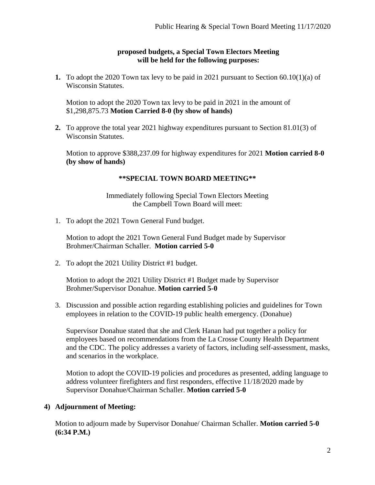## **proposed budgets, a Special Town Electors Meeting will be held for the following purposes:**

**1.** To adopt the 2020 Town tax levy to be paid in 2021 pursuant to Section 60.10(1)(a) of Wisconsin Statutes.

Motion to adopt the 2020 Town tax levy to be paid in 2021 in the amount of \$1,298,875.73 **Motion Carried 8-0 (by show of hands)**

**2.** To approve the total year 2021 highway expenditures pursuant to Section 81.01(3) of Wisconsin Statutes.

Motion to approve \$388,237.09 for highway expenditures for 2021 **Motion carried 8-0 (by show of hands)**

# **\*\*SPECIAL TOWN BOARD MEETING\*\***

Immediately following Special Town Electors Meeting the Campbell Town Board will meet:

1. To adopt the 2021 Town General Fund budget.

Motion to adopt the 2021 Town General Fund Budget made by Supervisor Brohmer/Chairman Schaller. **Motion carried 5-0**

2. To adopt the 2021 Utility District #1 budget.

Motion to adopt the 2021 Utility District #1 Budget made by Supervisor Brohmer/Supervisor Donahue. **Motion carried 5-0**

3. Discussion and possible action regarding establishing policies and guidelines for Town employees in relation to the COVID-19 public health emergency. (Donahue)

Supervisor Donahue stated that she and Clerk Hanan had put together a policy for employees based on recommendations from the La Crosse County Health Department and the CDC. The policy addresses a variety of factors, including self-assessment, masks, and scenarios in the workplace.

Motion to adopt the COVID-19 policies and procedures as presented, adding language to address volunteer firefighters and first responders, effective 11/18/2020 made by Supervisor Donahue/Chairman Schaller. **Motion carried 5-0**

# **4) Adjournment of Meeting:**

Motion to adjourn made by Supervisor Donahue/ Chairman Schaller. **Motion carried 5-0 (6:34 P.M.)**